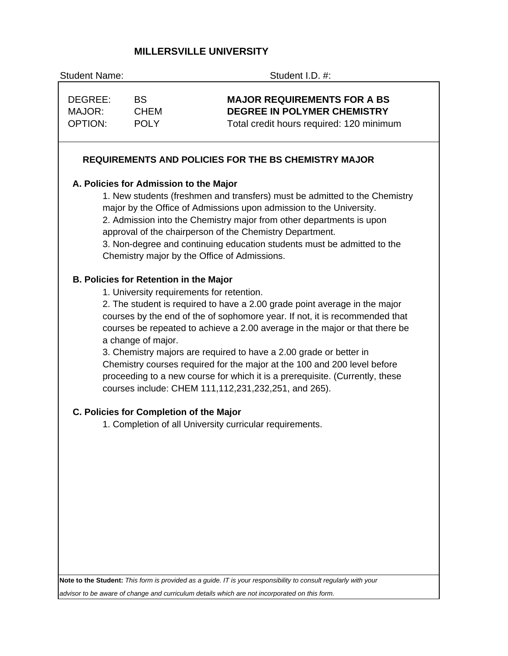# **MILLERSVILLE UNIVERSITY**

| <b>Student Name:</b>                |                                                                     | Student I.D. #:                                                                                                                                                                                                                                                                                                                                                                                                                                                                                                                                                                     |
|-------------------------------------|---------------------------------------------------------------------|-------------------------------------------------------------------------------------------------------------------------------------------------------------------------------------------------------------------------------------------------------------------------------------------------------------------------------------------------------------------------------------------------------------------------------------------------------------------------------------------------------------------------------------------------------------------------------------|
| DEGREE:<br>MAJOR:<br><b>OPTION:</b> | <b>BS</b><br><b>CHEM</b><br><b>POLY</b>                             | <b>MAJOR REQUIREMENTS FOR A BS</b><br><b>DEGREE IN POLYMER CHEMISTRY</b><br>Total credit hours required: 120 minimum                                                                                                                                                                                                                                                                                                                                                                                                                                                                |
|                                     |                                                                     | REQUIREMENTS AND POLICIES FOR THE BS CHEMISTRY MAJOR                                                                                                                                                                                                                                                                                                                                                                                                                                                                                                                                |
|                                     | A. Policies for Admission to the Major                              | 1. New students (freshmen and transfers) must be admitted to the Chemistry<br>major by the Office of Admissions upon admission to the University.<br>2. Admission into the Chemistry major from other departments is upon<br>approval of the chairperson of the Chemistry Department.<br>3. Non-degree and continuing education students must be admitted to the<br>Chemistry major by the Office of Admissions.                                                                                                                                                                    |
|                                     | <b>B. Policies for Retention in the Major</b><br>a change of major. | 1. University requirements for retention.<br>2. The student is required to have a 2.00 grade point average in the major<br>courses by the end of the of sophomore year. If not, it is recommended that<br>courses be repeated to achieve a 2.00 average in the major or that there be<br>3. Chemistry majors are required to have a 2.00 grade or better in<br>Chemistry courses required for the major at the 100 and 200 level before<br>proceeding to a new course for which it is a prerequisite. (Currently, these<br>courses include: CHEM 111, 112, 231, 232, 251, and 265). |
|                                     | C. Policies for Completion of the Major                             | 1. Completion of all University curricular requirements.                                                                                                                                                                                                                                                                                                                                                                                                                                                                                                                            |
|                                     |                                                                     |                                                                                                                                                                                                                                                                                                                                                                                                                                                                                                                                                                                     |
|                                     |                                                                     | Note to the Student: This form is provided as a guide. IT is your responsibility to consult regularly with your                                                                                                                                                                                                                                                                                                                                                                                                                                                                     |

*advisor to be aware of change and curriculum details which are not incorporated on this form.*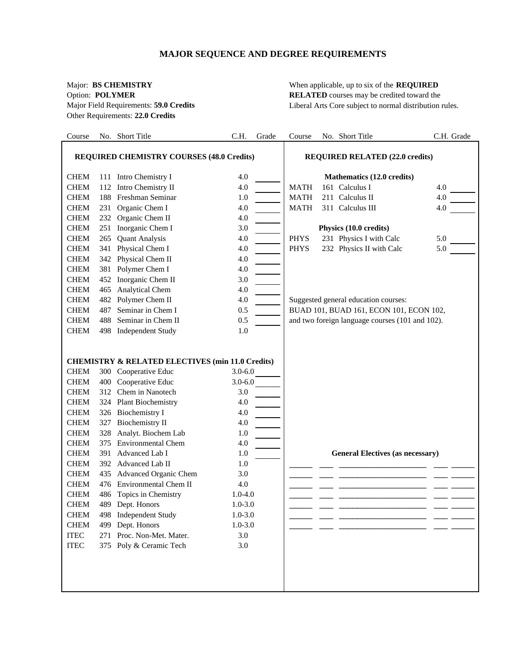# **MAJOR SEQUENCE AND DEGREE REQUIREMENTS**

Other Requirements: **22.0 Credits**

Major: **BS CHEMISTRY** When applicable, up to six of the **REQUIRED** Option: **POLYMER RELATED** courses may be credited toward the Major Field Requirements: **59.0 Credits** Liberal Arts Core subject to normal distribution rules.

| Course                                           |     | No. Short Title                                             | C.H.        | Grade | Course                                 | No. Short Title                                 | C.H. Grade |
|--------------------------------------------------|-----|-------------------------------------------------------------|-------------|-------|----------------------------------------|-------------------------------------------------|------------|
| <b>REQUIRED CHEMISTRY COURSES (48.0 Credits)</b> |     |                                                             |             |       | <b>REQUIRED RELATED (22.0 credits)</b> |                                                 |            |
| <b>CHEM</b>                                      |     | 111 Intro Chemistry I                                       | 4.0         |       |                                        | Mathematics (12.0 credits)                      |            |
| <b>CHEM</b>                                      |     | 112 Intro Chemistry II                                      | 4.0         |       | <b>MATH</b>                            | 161 Calculus I                                  | 4.0        |
| <b>CHEM</b>                                      |     | 188 Freshman Seminar                                        | 1.0         |       | <b>MATH</b>                            | 211 Calculus II                                 | 4.0        |
| <b>CHEM</b>                                      | 231 | Organic Chem I                                              | 4.0         |       | <b>MATH</b>                            | 311 Calculus III                                | 4.0        |
| <b>CHEM</b>                                      |     | 232 Organic Chem II                                         | 4.0         |       |                                        |                                                 |            |
| <b>CHEM</b>                                      |     | 251 Inorganic Chem I                                        | 3.0         |       |                                        | Physics (10.0 credits)                          |            |
| <b>CHEM</b>                                      | 265 | <b>Quant Analysis</b>                                       | 4.0         |       | <b>PHYS</b>                            | 231 Physics I with Calc                         | 5.0        |
| <b>CHEM</b>                                      |     | 341 Physical Chem I                                         | 4.0         |       | <b>PHYS</b>                            | 232 Physics II with Calc                        | 5.0        |
| <b>CHEM</b>                                      |     | 342 Physical Chem II                                        | 4.0         |       |                                        |                                                 |            |
| <b>CHEM</b>                                      |     | 381 Polymer Chem I                                          | 4.0         |       |                                        |                                                 |            |
| <b>CHEM</b>                                      |     | 452 Inorganic Chem II                                       | 3.0         |       |                                        |                                                 |            |
| <b>CHEM</b>                                      | 465 | <b>Analytical Chem</b>                                      | 4.0         |       |                                        |                                                 |            |
| <b>CHEM</b>                                      |     | 482 Polymer Chem II                                         | 4.0         |       |                                        | Suggested general education courses:            |            |
| <b>CHEM</b>                                      | 487 | Seminar in Chem I                                           | 0.5         |       |                                        | BUAD 101, BUAD 161, ECON 101, ECON 102,         |            |
| <b>CHEM</b>                                      | 488 | Seminar in Chem II                                          | 0.5         |       |                                        | and two foreign language courses (101 and 102). |            |
| <b>CHEM</b>                                      |     | 498 Independent Study                                       | 1.0         |       |                                        |                                                 |            |
|                                                  |     |                                                             |             |       |                                        |                                                 |            |
|                                                  |     | <b>CHEMISTRY &amp; RELATED ELECTIVES (min 11.0 Credits)</b> |             |       |                                        |                                                 |            |
| <b>CHEM</b>                                      |     | 300 Cooperative Educ                                        | $3.0 - 6.0$ |       |                                        |                                                 |            |
| <b>CHEM</b>                                      |     | 400 Cooperative Educ                                        | $3.0 - 6.0$ |       |                                        |                                                 |            |
| <b>CHEM</b>                                      |     | 312 Chem in Nanotech                                        | 3.0         |       |                                        |                                                 |            |
| <b>CHEM</b>                                      |     | 324 Plant Biochemistry                                      | 4.0         |       |                                        |                                                 |            |
| <b>CHEM</b>                                      |     | 326 Biochemistry I                                          | 4.0         |       |                                        |                                                 |            |
| <b>CHEM</b>                                      | 327 | <b>Biochemistry II</b>                                      | 4.0         |       |                                        |                                                 |            |
| <b>CHEM</b>                                      | 328 | Analyt. Biochem Lab                                         | 1.0         |       |                                        |                                                 |            |
| <b>CHEM</b>                                      | 375 | <b>Environmental Chem</b>                                   | 4.0         |       |                                        |                                                 |            |
| <b>CHEM</b>                                      | 391 | Advanced Lab I                                              | 1.0         |       |                                        | <b>General Electives (as necessary)</b>         |            |
| <b>CHEM</b>                                      |     | 392 Advanced Lab II                                         | 1.0         |       |                                        |                                                 |            |
| <b>CHEM</b>                                      |     | 435 Advanced Organic Chem                                   | 3.0         |       |                                        |                                                 |            |
| <b>CHEM</b>                                      |     | 476 Environmental Chem II                                   | 4.0         |       |                                        |                                                 |            |
| <b>CHEM</b>                                      |     | 486 Topics in Chemistry                                     | $1.0 - 4.0$ |       |                                        |                                                 |            |
| <b>CHEM</b>                                      |     | 489 Dept. Honors                                            | $1.0 - 3.0$ |       |                                        |                                                 |            |
| <b>CHEM</b>                                      | 498 | <b>Independent Study</b>                                    | $1.0 - 3.0$ |       |                                        |                                                 |            |
| <b>CHEM</b>                                      | 499 | Dept. Honors                                                | $1.0 - 3.0$ |       |                                        |                                                 |            |
| $\ensuremath{\mathsf{ITEC}}$                     |     | 271 Proc. Non-Met. Mater.                                   | 3.0         |       |                                        |                                                 |            |
| <b>ITEC</b>                                      |     | 375 Poly & Ceramic Tech                                     | 3.0         |       |                                        |                                                 |            |
|                                                  |     |                                                             |             |       |                                        |                                                 |            |
|                                                  |     |                                                             |             |       |                                        |                                                 |            |
|                                                  |     |                                                             |             |       |                                        |                                                 |            |
|                                                  |     |                                                             |             |       |                                        |                                                 |            |